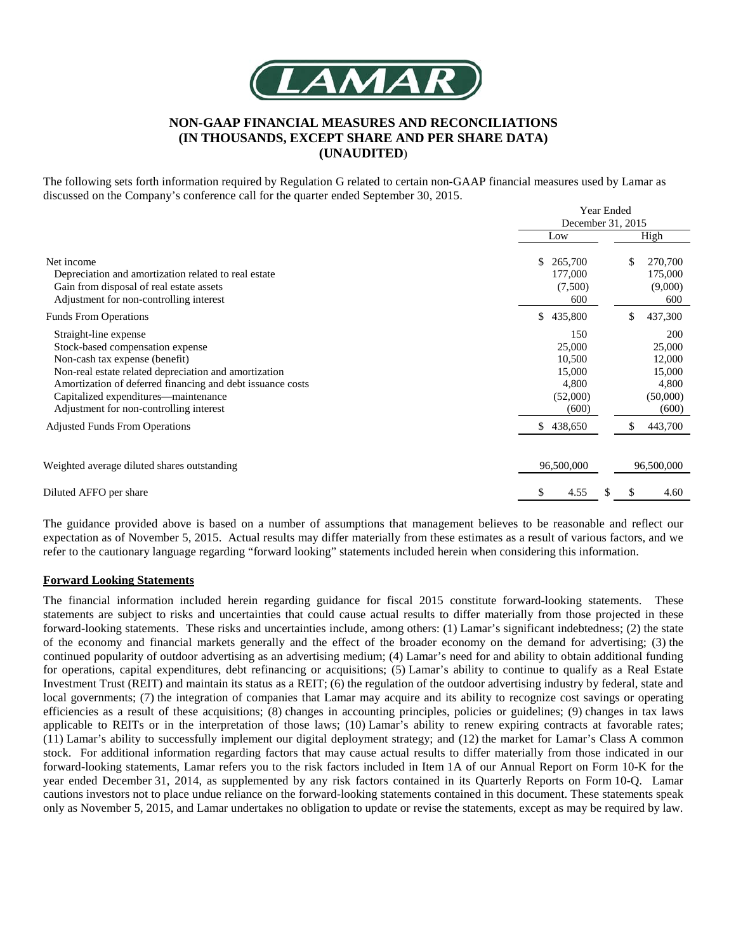

## **NON-GAAP FINANCIAL MEASURES AND RECONCILIATIONS (IN THOUSANDS, EXCEPT SHARE AND PER SHARE DATA) (UNAUDITED**)

The following sets forth information required by Regulation G related to certain non-GAAP financial measures used by Lamar as discussed on the Company's conference call for the quarter ended September 30, 2015.

|                                                                                                                                                                                                                                                                                                                                                |                                                                              | <b>Year Ended</b><br>December 31, 2015 |            |                                                                            |
|------------------------------------------------------------------------------------------------------------------------------------------------------------------------------------------------------------------------------------------------------------------------------------------------------------------------------------------------|------------------------------------------------------------------------------|----------------------------------------|------------|----------------------------------------------------------------------------|
|                                                                                                                                                                                                                                                                                                                                                | Low                                                                          |                                        | High       |                                                                            |
| Net income<br>Depreciation and amortization related to real estate<br>Gain from disposal of real estate assets<br>Adjustment for non-controlling interest                                                                                                                                                                                      | \$<br>265,700<br>177,000<br>(7,500)<br>600                                   |                                        | \$         | 270,700<br>175,000<br>(9,000)<br>600                                       |
| <b>Funds From Operations</b>                                                                                                                                                                                                                                                                                                                   | \$<br>435,800                                                                |                                        | \$         | 437,300                                                                    |
| Straight-line expense<br>Stock-based compensation expense<br>Non-cash tax expense (benefit)<br>Non-real estate related depreciation and amortization<br>Amortization of deferred financing and debt issuance costs<br>Capitalized expenditures—maintenance<br>Adjustment for non-controlling interest<br><b>Adjusted Funds From Operations</b> | 150<br>25,000<br>10,500<br>15,000<br>4,800<br>(52,000)<br>(600)<br>\$438,650 |                                        | S          | 200<br>25,000<br>12,000<br>15,000<br>4,800<br>(50,000)<br>(600)<br>443,700 |
| Weighted average diluted shares outstanding                                                                                                                                                                                                                                                                                                    | 96,500,000                                                                   |                                        | 96,500,000 |                                                                            |
| Diluted AFFO per share                                                                                                                                                                                                                                                                                                                         | \$<br>4.55                                                                   | S.                                     | \$         | 4.60                                                                       |

The guidance provided above is based on a number of assumptions that management believes to be reasonable and reflect our expectation as of November 5, 2015. Actual results may differ materially from these estimates as a result of various factors, and we refer to the cautionary language regarding "forward looking" statements included herein when considering this information.

## **Forward Looking Statements**

The financial information included herein regarding guidance for fiscal 2015 constitute forward-looking statements. These statements are subject to risks and uncertainties that could cause actual results to differ materially from those projected in these forward-looking statements. These risks and uncertainties include, among others: (1) Lamar's significant indebtedness; (2) the state of the economy and financial markets generally and the effect of the broader economy on the demand for advertising; (3) the continued popularity of outdoor advertising as an advertising medium; (4) Lamar's need for and ability to obtain additional funding for operations, capital expenditures, debt refinancing or acquisitions; (5) Lamar's ability to continue to qualify as a Real Estate Investment Trust (REIT) and maintain its status as a REIT; (6) the regulation of the outdoor advertising industry by federal, state and local governments; (7) the integration of companies that Lamar may acquire and its ability to recognize cost savings or operating efficiencies as a result of these acquisitions; (8) changes in accounting principles, policies or guidelines; (9) changes in tax laws applicable to REITs or in the interpretation of those laws; (10) Lamar's ability to renew expiring contracts at favorable rates; (11) Lamar's ability to successfully implement our digital deployment strategy; and (12) the market for Lamar's Class A common stock. For additional information regarding factors that may cause actual results to differ materially from those indicated in our forward-looking statements, Lamar refers you to the risk factors included in Item 1A of our Annual Report on Form 10-K for the year ended December 31, 2014, as supplemented by any risk factors contained in its Quarterly Reports on Form 10-Q. Lamar cautions investors not to place undue reliance on the forward-looking statements contained in this document. These statements speak only as November 5, 2015, and Lamar undertakes no obligation to update or revise the statements, except as may be required by law.